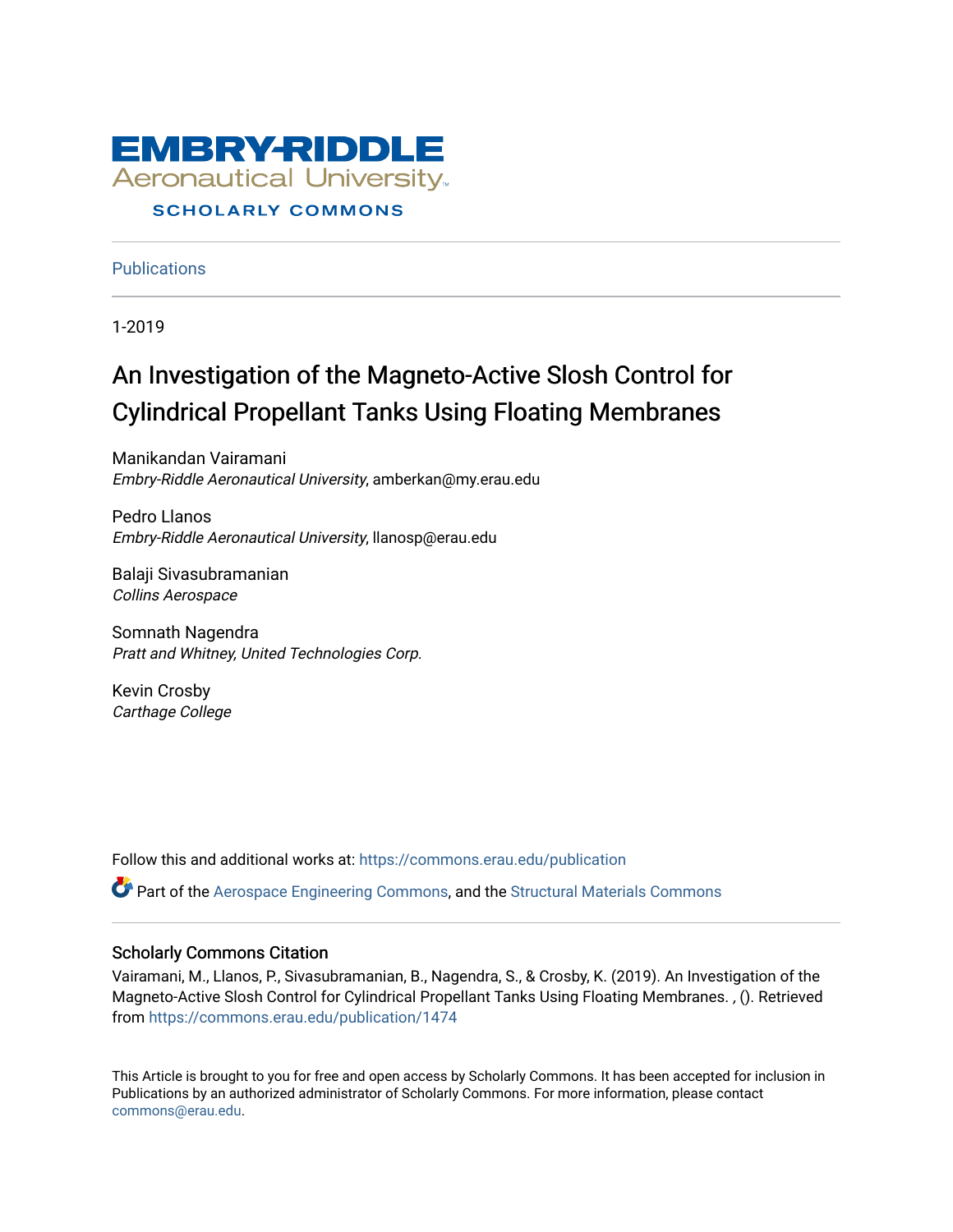

## **Publications**

1-2019

# An Investigation of the Magneto-Active Slosh Control for Cylindrical Propellant Tanks Using Floating Membranes

Manikandan Vairamani Embry-Riddle Aeronautical University, amberkan@my.erau.edu

Pedro Llanos Embry-Riddle Aeronautical University, llanosp@erau.edu

Balaji Sivasubramanian Collins Aerospace

Somnath Nagendra Pratt and Whitney, United Technologies Corp.

Kevin Crosby Carthage College

Follow this and additional works at: [https://commons.erau.edu/publication](https://commons.erau.edu/publication?utm_source=commons.erau.edu%2Fpublication%2F1474&utm_medium=PDF&utm_campaign=PDFCoverPages) 

Part of the [Aerospace Engineering Commons](http://network.bepress.com/hgg/discipline/218?utm_source=commons.erau.edu%2Fpublication%2F1474&utm_medium=PDF&utm_campaign=PDFCoverPages), and the [Structural Materials Commons](http://network.bepress.com/hgg/discipline/291?utm_source=commons.erau.edu%2Fpublication%2F1474&utm_medium=PDF&utm_campaign=PDFCoverPages) 

### Scholarly Commons Citation

Vairamani, M., Llanos, P., Sivasubramanian, B., Nagendra, S., & Crosby, K. (2019). An Investigation of the Magneto-Active Slosh Control for Cylindrical Propellant Tanks Using Floating Membranes. , (). Retrieved from [https://commons.erau.edu/publication/1474](https://commons.erau.edu/publication/1474?utm_source=commons.erau.edu%2Fpublication%2F1474&utm_medium=PDF&utm_campaign=PDFCoverPages) 

This Article is brought to you for free and open access by Scholarly Commons. It has been accepted for inclusion in Publications by an authorized administrator of Scholarly Commons. For more information, please contact [commons@erau.edu](mailto:commons@erau.edu).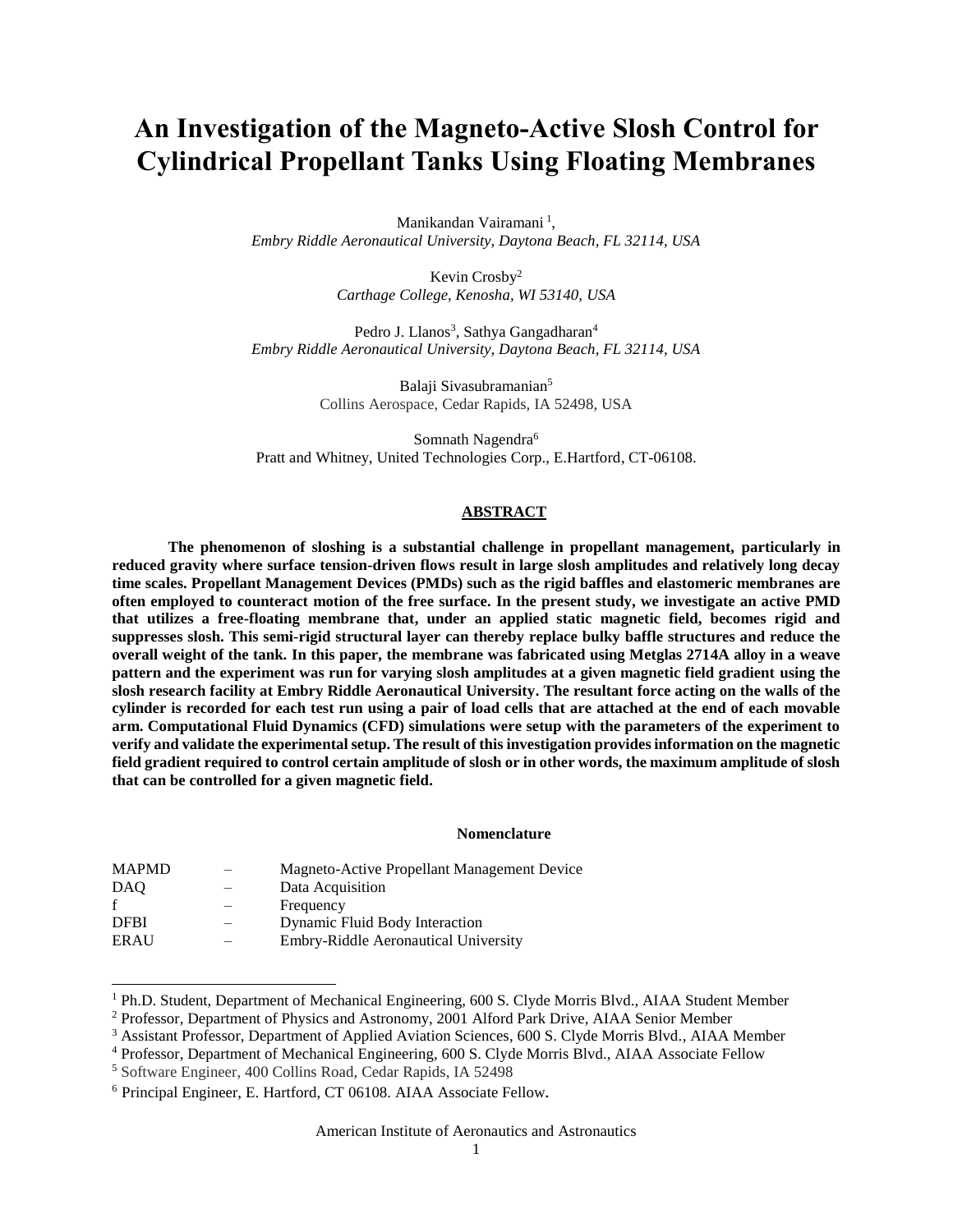# **An Investigation of the Magneto-Active Slosh Control for Cylindrical Propellant Tanks Using Floating Membranes**

Manikandan Vairamani<sup>1</sup>, *Embry Riddle Aeronautical University, Daytona Beach, FL 32114, USA*

> Kevin Crosby<sup>2</sup> *Carthage College, Kenosha, WI 53140, USA*

Pedro J. Llanos<sup>3</sup>, Sathya Gangadharan<sup>4</sup> *Embry Riddle Aeronautical University, Daytona Beach, FL 32114, USA*

> Balaji Sivasubramanian<sup>5</sup> Collins Aerospace, Cedar Rapids, IA 52498, USA

Somnath Nagendra<sup>6</sup> Pratt and Whitney, United Technologies Corp., E.Hartford, CT-06108.

#### **ABSTRACT**

**The phenomenon of sloshing is a substantial challenge in propellant management, particularly in reduced gravity where surface tension-driven flows result in large slosh amplitudes and relatively long decay time scales. Propellant Management Devices (PMDs) such as the rigid baffles and elastomeric membranes are often employed to counteract motion of the free surface. In the present study, we investigate an active PMD that utilizes a free-floating membrane that, under an applied static magnetic field, becomes rigid and suppresses slosh. This semi-rigid structural layer can thereby replace bulky baffle structures and reduce the overall weight of the tank. In this paper, the membrane was fabricated using Metglas 2714A alloy in a weave pattern and the experiment was run for varying slosh amplitudes at a given magnetic field gradient using the slosh research facility at Embry Riddle Aeronautical University. The resultant force acting on the walls of the cylinder is recorded for each test run using a pair of load cells that are attached at the end of each movable arm. Computational Fluid Dynamics (CFD) simulations were setup with the parameters of the experiment to verify and validate the experimental setup. The result of this investigation providesinformation on the magnetic field gradient required to control certain amplitude of slosh or in other words, the maximum amplitude of slosh that can be controlled for a given magnetic field.**

#### **Nomenclature**

| <b>MAPMD</b> |   | Magneto-Active Propellant Management Device |  |  |
|--------------|---|---------------------------------------------|--|--|
| DAO          | - | Data Acquisition                            |  |  |
| f            | - | Frequency                                   |  |  |
| <b>DFBI</b>  |   | Dynamic Fluid Body Interaction              |  |  |
| ERAU         | - | Embry-Riddle Aeronautical University        |  |  |
|              |   |                                             |  |  |

<sup>&</sup>lt;sup>1</sup> Ph.D. Student, Department of Mechanical Engineering, 600 S. Clyde Morris Blvd., AIAA Student Member

<sup>2</sup> Professor, Department of Physics and Astronomy, 2001 Alford Park Drive, AIAA Senior Member

<sup>5</sup> Software Engineer, 400 Collins Road, Cedar Rapids, IA 52498

 $\overline{\phantom{a}}$ 

<sup>3</sup> Assistant Professor, Department of Applied Aviation Sciences, 600 S. Clyde Morris Blvd., AIAA Member

<sup>4</sup> Professor, Department of Mechanical Engineering, 600 S. Clyde Morris Blvd., AIAA Associate Fellow

<sup>6</sup> Principal Engineer, E. Hartford, CT 06108. AIAA Associate Fellow*.*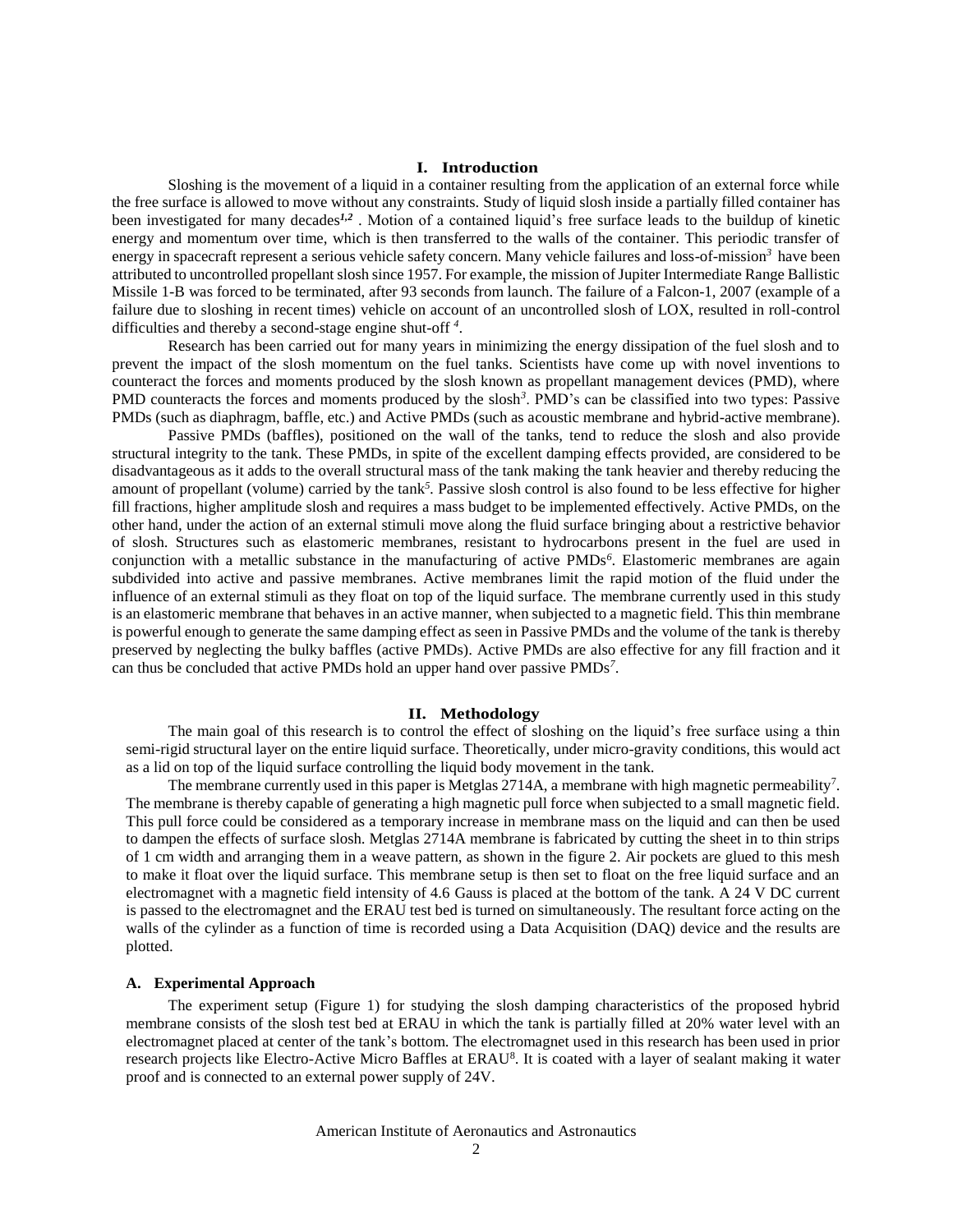#### **I. Introduction**

Sloshing is the movement of a liquid in a container resulting from the application of an external force while the free surface is allowed to move without any constraints. Study of liquid slosh inside a partially filled container has been investigated for many decades*1,2* . Motion of a contained liquid's free surface leads to the buildup of kinetic energy and momentum over time, which is then transferred to the walls of the container. This periodic transfer of energy in spacecraft represent a serious vehicle safety concern. Many vehicle failures and loss-of-mission<sup>3</sup> have been attributed to uncontrolled propellant slosh since 1957. For example, the mission of Jupiter Intermediate Range Ballistic Missile 1-B was forced to be terminated, after 93 seconds from launch. The failure of a Falcon-1, 2007 (example of a failure due to sloshing in recent times) vehicle on account of an uncontrolled slosh of LOX, resulted in roll-control difficulties and thereby a second-stage engine shut-off *<sup>4</sup>* .

Research has been carried out for many years in minimizing the energy dissipation of the fuel slosh and to prevent the impact of the slosh momentum on the fuel tanks. Scientists have come up with novel inventions to counteract the forces and moments produced by the slosh known as propellant management devices (PMD), where PMD counteracts the forces and moments produced by the slosh<sup>3</sup>. PMD's can be classified into two types: Passive PMDs (such as diaphragm, baffle, etc.) and Active PMDs (such as acoustic membrane and hybrid-active membrane).

Passive PMDs (baffles), positioned on the wall of the tanks, tend to reduce the slosh and also provide structural integrity to the tank. These PMDs, in spite of the excellent damping effects provided, are considered to be disadvantageous as it adds to the overall structural mass of the tank making the tank heavier and thereby reducing the amount of propellant (volume) carried by the tank*<sup>5</sup> .* Passive slosh control is also found to be less effective for higher fill fractions, higher amplitude slosh and requires a mass budget to be implemented effectively. Active PMDs, on the other hand, under the action of an external stimuli move along the fluid surface bringing about a restrictive behavior of slosh. Structures such as elastomeric membranes, resistant to hydrocarbons present in the fuel are used in conjunction with a metallic substance in the manufacturing of active PMDs*<sup>6</sup>* . Elastomeric membranes are again subdivided into active and passive membranes. Active membranes limit the rapid motion of the fluid under the influence of an external stimuli as they float on top of the liquid surface. The membrane currently used in this study is an elastomeric membrane that behaves in an active manner, when subjected to a magnetic field. This thin membrane is powerful enough to generate the same damping effect as seen in Passive PMDs and the volume of the tank is thereby preserved by neglecting the bulky baffles (active PMDs). Active PMDs are also effective for any fill fraction and it can thus be concluded that active PMDs hold an upper hand over passive PMDs*<sup>7</sup>* .

#### **II. Methodology**

The main goal of this research is to control the effect of sloshing on the liquid's free surface using a thin semi-rigid structural layer on the entire liquid surface. Theoretically, under micro-gravity conditions, this would act as a lid on top of the liquid surface controlling the liquid body movement in the tank.

The membrane currently used in this paper is Metglas  $2714A$ , a membrane with high magnetic permeability<sup>7</sup>. The membrane is thereby capable of generating a high magnetic pull force when subjected to a small magnetic field. This pull force could be considered as a temporary increase in membrane mass on the liquid and can then be used to dampen the effects of surface slosh. Metglas 2714A membrane is fabricated by cutting the sheet in to thin strips of 1 cm width and arranging them in a weave pattern, as shown in the figure 2. Air pockets are glued to this mesh to make it float over the liquid surface. This membrane setup is then set to float on the free liquid surface and an electromagnet with a magnetic field intensity of 4.6 Gauss is placed at the bottom of the tank. A 24 V DC current is passed to the electromagnet and the ERAU test bed is turned on simultaneously. The resultant force acting on the walls of the cylinder as a function of time is recorded using a Data Acquisition (DAQ) device and the results are plotted.

#### **A. Experimental Approach**

The experiment setup (Figure 1) for studying the slosh damping characteristics of the proposed hybrid membrane consists of the slosh test bed at ERAU in which the tank is partially filled at 20% water level with an electromagnet placed at center of the tank's bottom. The electromagnet used in this research has been used in prior research projects like Electro-Active Micro Baffles at ERAU<sup>8</sup>. It is coated with a layer of sealant making it water proof and is connected to an external power supply of 24V.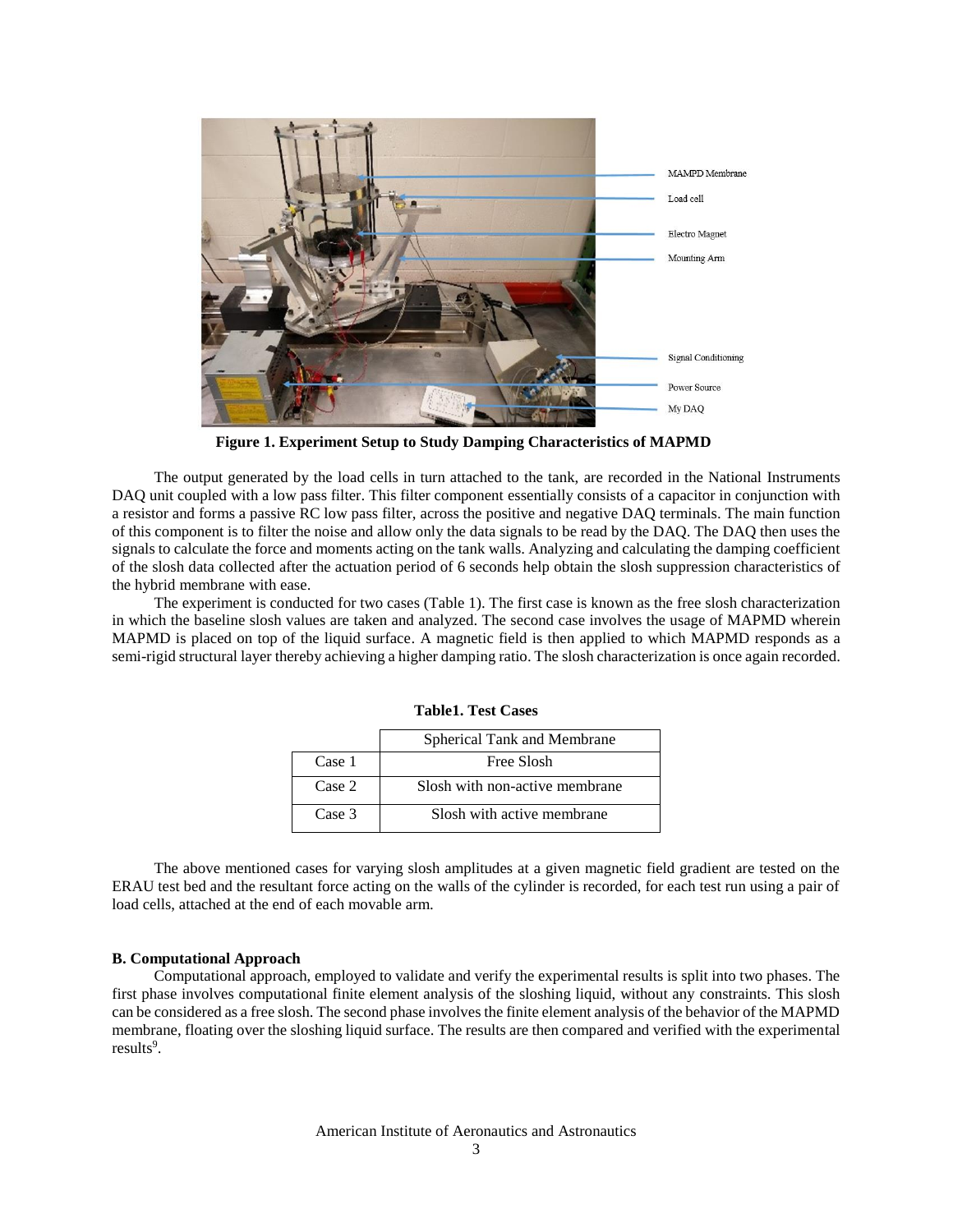

 **Figure 1. Experiment Setup to Study Damping Characteristics of MAPMD**

The output generated by the load cells in turn attached to the tank, are recorded in the National Instruments DAQ unit coupled with a low pass filter. This filter component essentially consists of a capacitor in conjunction with a resistor and forms a passive RC low pass filter, across the positive and negative DAQ terminals. The main function of this component is to filter the noise and allow only the data signals to be read by the DAQ. The DAQ then uses the signals to calculate the force and moments acting on the tank walls. Analyzing and calculating the damping coefficient of the slosh data collected after the actuation period of 6 seconds help obtain the slosh suppression characteristics of the hybrid membrane with ease.

The experiment is conducted for two cases (Table 1). The first case is known as the free slosh characterization in which the baseline slosh values are taken and analyzed. The second case involves the usage of MAPMD wherein MAPMD is placed on top of the liquid surface. A magnetic field is then applied to which MAPMD responds as a semi-rigid structural layer thereby achieving a higher damping ratio. The slosh characterization is once again recorded.

|        | Spherical Tank and Membrane    |  |  |  |
|--------|--------------------------------|--|--|--|
| Case 1 | Free Slosh                     |  |  |  |
| Case 2 | Slosh with non-active membrane |  |  |  |
| Case 3 | Slosh with active membrane     |  |  |  |

**Table1. Test Cases**

The above mentioned cases for varying slosh amplitudes at a given magnetic field gradient are tested on the ERAU test bed and the resultant force acting on the walls of the cylinder is recorded, for each test run using a pair of load cells, attached at the end of each movable arm.

#### **B. Computational Approach**

Computational approach, employed to validate and verify the experimental results is split into two phases. The first phase involves computational finite element analysis of the sloshing liquid, without any constraints. This slosh can be considered as a free slosh. The second phase involves the finite element analysis of the behavior of the MAPMD membrane, floating over the sloshing liquid surface. The results are then compared and verified with the experimental results<sup>9</sup>.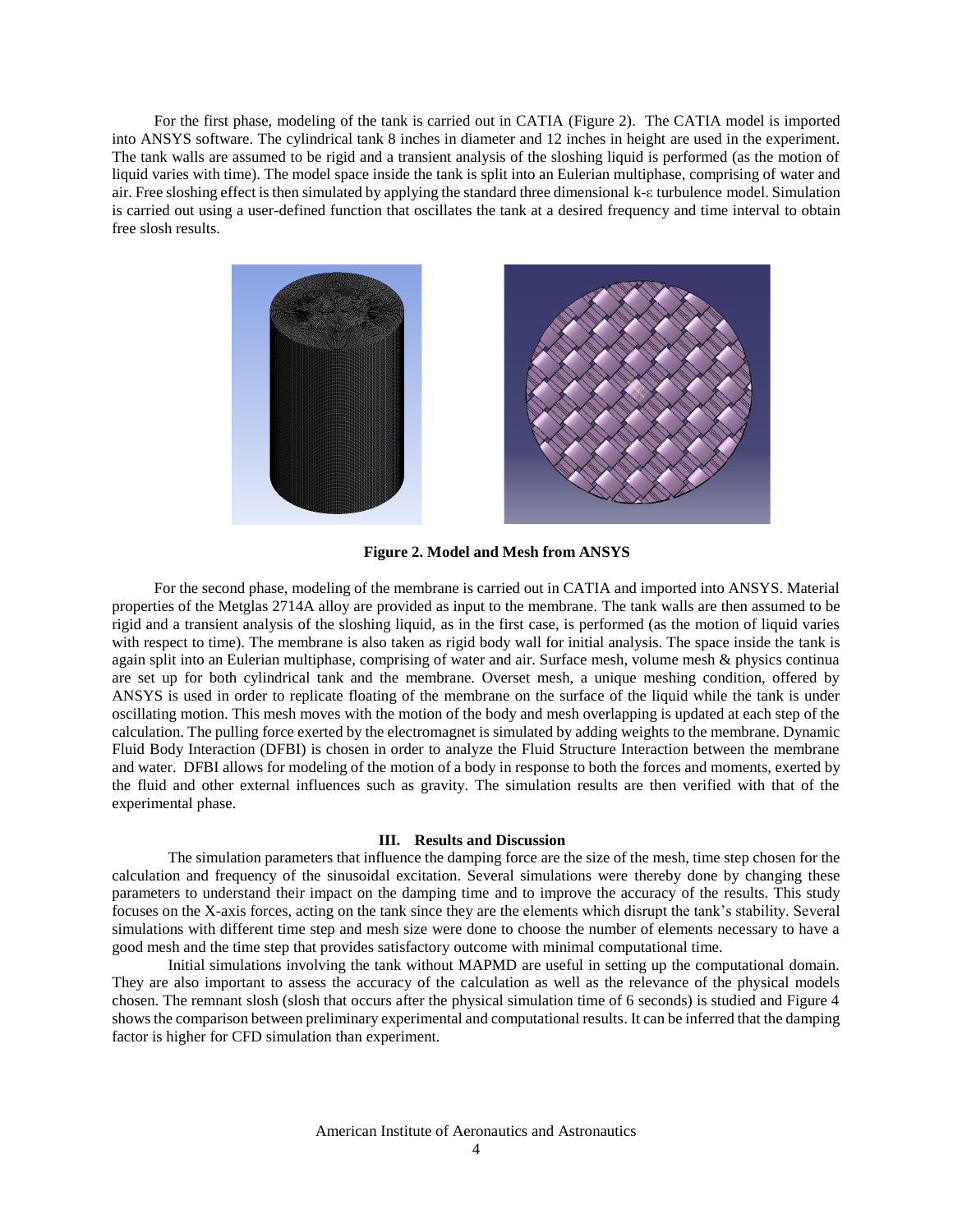For the first phase, modeling of the tank is carried out in CATIA (Figure 2). The CATIA model is imported into ANSYS software. The cylindrical tank 8 inches in diameter and 12 inches in height are used in the experiment. The tank walls are assumed to be rigid and a transient analysis of the sloshing liquid is performed (as the motion of liquid varies with time). The model space inside the tank is split into an Eulerian multiphase, comprising of water and air. Free sloshing effect is then simulated by applying the standard three dimensional k-ε turbulence model. Simulation is carried out using a user-defined function that oscillates the tank at a desired frequency and time interval to obtain free slosh results.



**Figure 2. Model and Mesh from ANSYS**

For the second phase, modeling of the membrane is carried out in CATIA and imported into ANSYS. Material properties of the Metglas 2714A alloy are provided as input to the membrane. The tank walls are then assumed to be rigid and a transient analysis of the sloshing liquid, as in the first case, is performed (as the motion of liquid varies with respect to time). The membrane is also taken as rigid body wall for initial analysis. The space inside the tank is again split into an Eulerian multiphase, comprising of water and air. Surface mesh, volume mesh & physics continua are set up for both cylindrical tank and the membrane. Overset mesh, a unique meshing condition, offered by ANSYS is used in order to replicate floating of the membrane on the surface of the liquid while the tank is under oscillating motion. This mesh moves with the motion of the body and mesh overlapping is updated at each step of the calculation. The pulling force exerted by the electromagnet is simulated by adding weights to the membrane. Dynamic Fluid Body Interaction (DFBI) is chosen in order to analyze the Fluid Structure Interaction between the membrane and water. DFBI allows for modeling of the motion of a body in response to both the forces and moments, exerted by the fluid and other external influences such as gravity. The simulation results are then verified with that of the experimental phase.

#### **III. Results and Discussion**

The simulation parameters that influence the damping force are the size of the mesh, time step chosen for the calculation and frequency of the sinusoidal excitation. Several simulations were thereby done by changing these parameters to understand their impact on the damping time and to improve the accuracy of the results. This study focuses on the X-axis forces, acting on the tank since they are the elements which disrupt the tank's stability. Several simulations with different time step and mesh size were done to choose the number of elements necessary to have a good mesh and the time step that provides satisfactory outcome with minimal computational time.

Initial simulations involving the tank without MAPMD are useful in setting up the computational domain. They are also important to assess the accuracy of the calculation as well as the relevance of the physical models chosen. The remnant slosh (slosh that occurs after the physical simulation time of 6 seconds) is studied and Figure 4 shows the comparison between preliminary experimental and computational results. It can be inferred that the damping factor is higher for CFD simulation than experiment.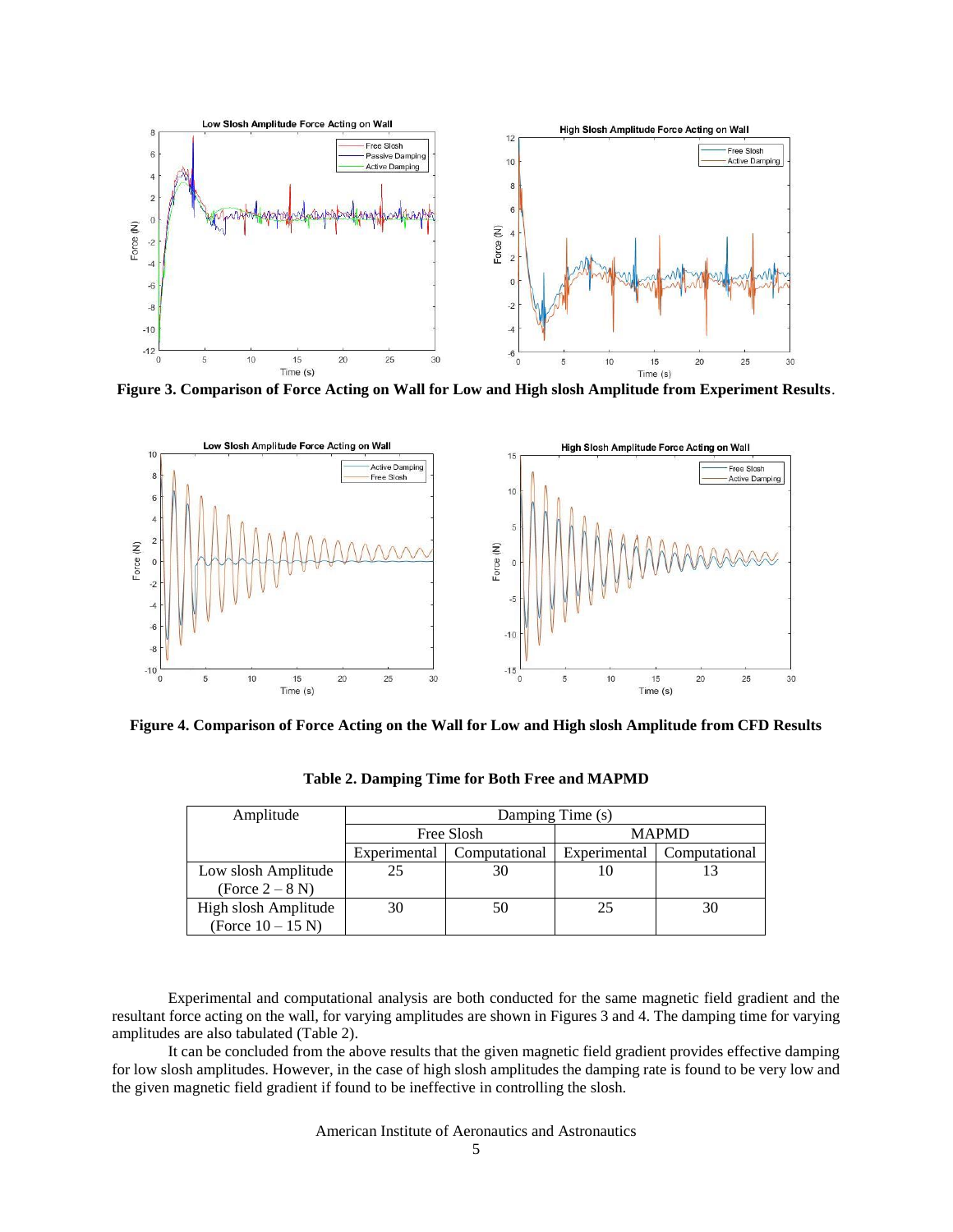

**Figure 3. Comparison of Force Acting on Wall for Low and High slosh Amplitude from Experiment Results**.



**Figure 4. Comparison of Force Acting on the Wall for Low and High slosh Amplitude from CFD Results**

| Amplitude            | Damping Time (s) |               |              |               |  |  |
|----------------------|------------------|---------------|--------------|---------------|--|--|
|                      | Free Slosh       |               | <b>MAPMD</b> |               |  |  |
|                      | Experimental     | Computational | Experimental | Computational |  |  |
| Low slosh Amplitude  | 25               | 30            | 10           |               |  |  |
| (Force $2-8$ N)      |                  |               |              |               |  |  |
| High slosh Amplitude | 30               | 50            | 25           | 30            |  |  |
| (Force $10 - 15$ N)  |                  |               |              |               |  |  |

**Table 2. Damping Time for Both Free and MAPMD**

Experimental and computational analysis are both conducted for the same magnetic field gradient and the resultant force acting on the wall, for varying amplitudes are shown in Figures 3 and 4. The damping time for varying amplitudes are also tabulated (Table 2).

It can be concluded from the above results that the given magnetic field gradient provides effective damping for low slosh amplitudes. However, in the case of high slosh amplitudes the damping rate is found to be very low and the given magnetic field gradient if found to be ineffective in controlling the slosh.

American Institute of Aeronautics and Astronautics